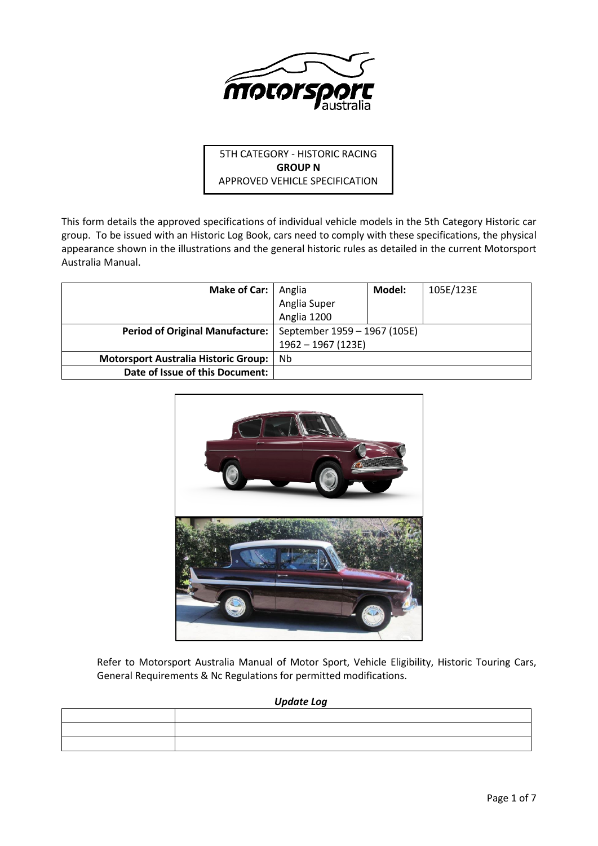

# 5TH CATEGORY - HISTORIC RACING **GROUP N** APPROVED VEHICLE SPECIFICATION

This form details the approved specifications of individual vehicle models in the 5th Category Historic car group. To be issued with an Historic Log Book, cars need to comply with these specifications, the physical appearance shown in the illustrations and the general historic rules as detailed in the current Motorsport Australia Manual.

| <b>Make of Car:</b>                         | Anglia                       | Model: | 105E/123E |
|---------------------------------------------|------------------------------|--------|-----------|
|                                             | Anglia Super                 |        |           |
|                                             | Anglia 1200                  |        |           |
| <b>Period of Original Manufacture:</b>      | September 1959 - 1967 (105E) |        |           |
|                                             | $1962 - 1967$ (123E)         |        |           |
| <b>Motorsport Australia Historic Group:</b> | Nb                           |        |           |
| Date of Issue of this Document:             |                              |        |           |



Refer to Motorsport Australia Manual of Motor Sport, Vehicle Eligibility, Historic Touring Cars, General Requirements & Nc Regulations for permitted modifications.

## *Update Log*

|                                                                                                                 | <u>in the contract of the contract of the contract of the contract of the contract of the contract of the contract of the contract of the contract of the contract of the contract of the contract of the contract of the contra</u> |
|-----------------------------------------------------------------------------------------------------------------|--------------------------------------------------------------------------------------------------------------------------------------------------------------------------------------------------------------------------------------|
| the contract of the contract of the contract of the contract of the contract of the contract of the contract of |                                                                                                                                                                                                                                      |
|                                                                                                                 |                                                                                                                                                                                                                                      |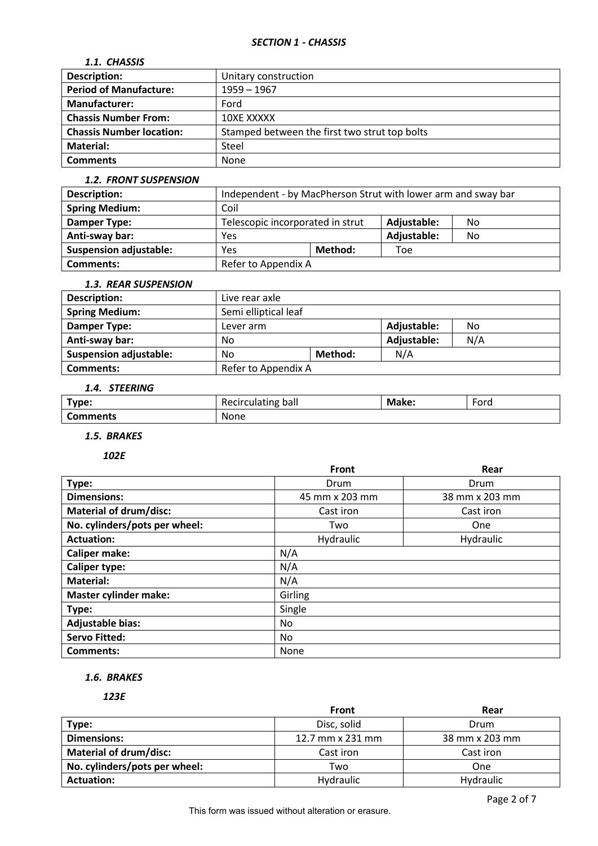## *SECTION 1 - CHASSIS*

## *1.1. CHASSIS*

| <b>Description:</b>             | Unitary construction                          |
|---------------------------------|-----------------------------------------------|
| <b>Period of Manufacture:</b>   | $1959 - 1967$                                 |
| Manufacturer:                   | Ford                                          |
| <b>Chassis Number From:</b>     | 10XE XXXXX                                    |
| <b>Chassis Number location:</b> | Stamped between the first two strut top bolts |
| Material:                       | Steel                                         |
| <b>Comments</b>                 | None                                          |

#### *1.2. FRONT SUSPENSION*

| <b>Description:</b>           | Independent - by MacPherson Strut with lower arm and sway bar |         |             |    |
|-------------------------------|---------------------------------------------------------------|---------|-------------|----|
| <b>Spring Medium:</b>         | Coil                                                          |         |             |    |
| Damper Type:                  | Telescopic incorporated in strut<br>Adjustable:<br>No         |         |             |    |
| Anti-sway bar:                | Yes                                                           |         | Adjustable: | No |
| <b>Suspension adjustable:</b> | Yes                                                           | Method: | Toe         |    |
| Comments:                     | Refer to Appendix A                                           |         |             |    |

## *1.3. REAR SUSPENSION*

| <b>Description:</b>           | Live rear axle                 |         |             |     |  |
|-------------------------------|--------------------------------|---------|-------------|-----|--|
| <b>Spring Medium:</b>         | Semi elliptical leaf           |         |             |     |  |
| Damper Type:                  | Adjustable:<br>No<br>Lever arm |         |             |     |  |
| Anti-sway bar:                | No                             |         | Adjustable: | N/A |  |
| <b>Suspension adjustable:</b> | No                             | Method: | N/A         |     |  |
| <b>Comments:</b>              | Refer to Appendix A            |         |             |     |  |

## *1.4. STEERING*

| Type:    | ---<br>Ddll<br>culdulle | м<br>ıke: | $\overline{\phantom{0}}$<br>Fora |
|----------|-------------------------|-----------|----------------------------------|
| comments | None                    |           |                                  |

# *1.5. BRAKES*

*102E*

|                               | <b>Front</b>   | Rear           |
|-------------------------------|----------------|----------------|
| Type:                         | Drum           | Drum           |
| <b>Dimensions:</b>            | 45 mm x 203 mm | 38 mm x 203 mm |
| <b>Material of drum/disc:</b> | Cast iron      | Cast iron      |
| No. cylinders/pots per wheel: | Two            | One            |
| <b>Actuation:</b>             | Hydraulic      | Hydraulic      |
| <b>Caliper make:</b>          | N/A            |                |
| <b>Caliper type:</b>          | N/A            |                |
| <b>Material:</b>              | N/A            |                |
| <b>Master cylinder make:</b>  | Girling        |                |
| Type:                         | Single         |                |
| <b>Adjustable bias:</b>       | No.            |                |
| <b>Servo Fitted:</b>          | No.            |                |
| <b>Comments:</b>              | None           |                |

## *1.6. BRAKES*

#### *123E*

|                               | <b>Front</b>            | Rear           |
|-------------------------------|-------------------------|----------------|
| Type:                         | Disc, solid             | Drum           |
| <b>Dimensions:</b>            | 12.7 mm $\times$ 231 mm | 38 mm x 203 mm |
| <b>Material of drum/disc:</b> | Cast iron               | Cast iron      |
| No. cylinders/pots per wheel: | Two                     | One            |
| <b>Actuation:</b>             | Hydraulic               | Hydraulic      |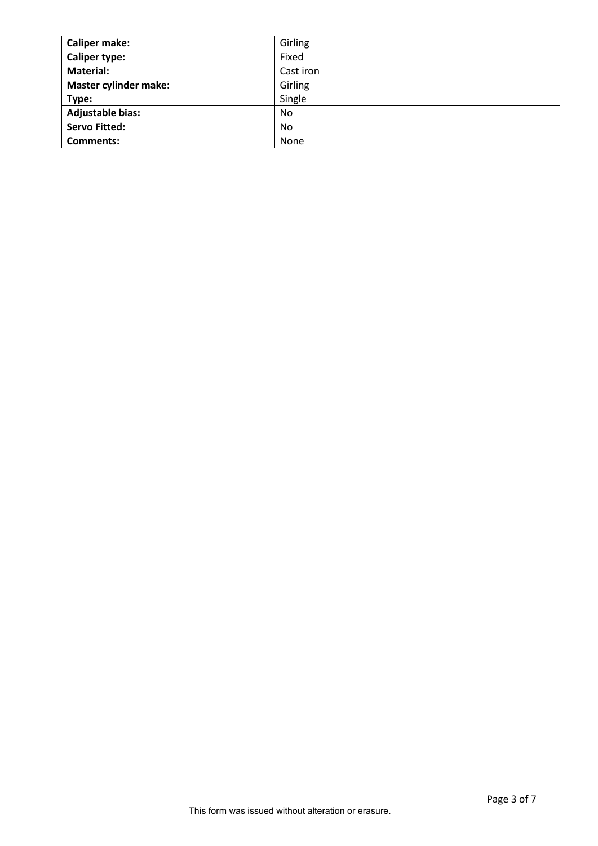| <b>Caliper make:</b>         | Girling   |
|------------------------------|-----------|
| <b>Caliper type:</b>         | Fixed     |
| <b>Material:</b>             | Cast iron |
| <b>Master cylinder make:</b> | Girling   |
| Type:                        | Single    |
| <b>Adjustable bias:</b>      | No        |
| <b>Servo Fitted:</b>         | No        |
| <b>Comments:</b>             | None      |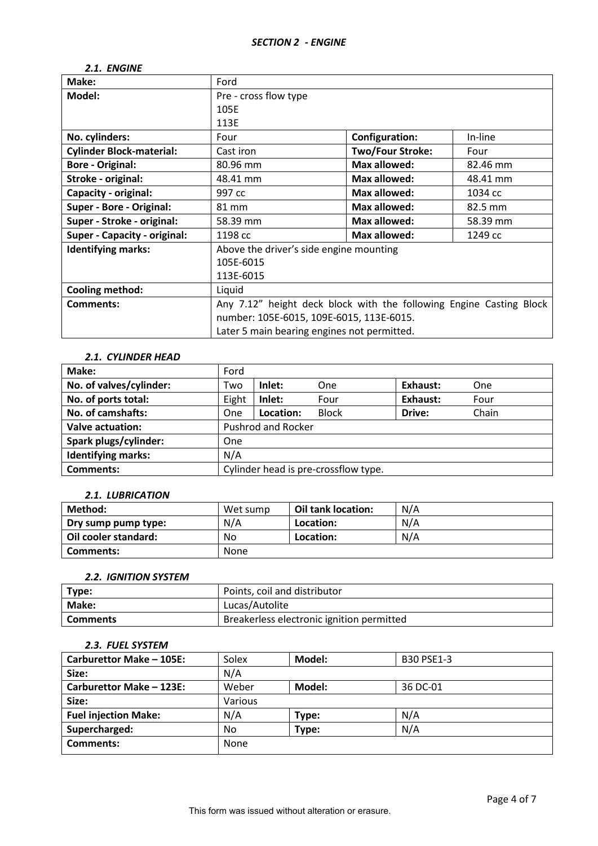| Make:                               | Ford                                                                |                         |          |  |  |  |
|-------------------------------------|---------------------------------------------------------------------|-------------------------|----------|--|--|--|
| Model:                              | Pre - cross flow type                                               |                         |          |  |  |  |
|                                     | 105E                                                                |                         |          |  |  |  |
|                                     | 113E                                                                |                         |          |  |  |  |
| No. cylinders:                      | Four                                                                | <b>Configuration:</b>   | In-line  |  |  |  |
| <b>Cylinder Block-material:</b>     | Cast iron                                                           | <b>Two/Four Stroke:</b> | Four     |  |  |  |
| <b>Bore - Original:</b>             | 80.96 mm                                                            | Max allowed:            | 82.46 mm |  |  |  |
| Stroke - original:                  | Max allowed:<br>48.41 mm<br>48.41 mm                                |                         |          |  |  |  |
| Capacity - original:                | Max allowed:<br>997 cc<br>1034 cc                                   |                         |          |  |  |  |
| <b>Super - Bore - Original:</b>     | Max allowed:<br>82.5 mm<br>81 mm                                    |                         |          |  |  |  |
| Super - Stroke - original:          | Max allowed:<br>58.39 mm<br>58.39 mm                                |                         |          |  |  |  |
| <b>Super - Capacity - original:</b> | Max allowed:<br>1198 cc<br>1249 cc                                  |                         |          |  |  |  |
| <b>Identifying marks:</b>           | Above the driver's side engine mounting                             |                         |          |  |  |  |
|                                     | 105E-6015                                                           |                         |          |  |  |  |
|                                     | 113E-6015                                                           |                         |          |  |  |  |
| Cooling method:                     | Liquid                                                              |                         |          |  |  |  |
| <b>Comments:</b>                    | Any 7.12" height deck block with the following Engine Casting Block |                         |          |  |  |  |
|                                     | number: 105E-6015, 109E-6015, 113E-6015.                            |                         |          |  |  |  |
|                                     | Later 5 main bearing engines not permitted.                         |                         |          |  |  |  |

# *2.1. ENGINE*

## *2.1. CYLINDER HEAD*

| Make:                     | Ford                                 |           |              |          |       |
|---------------------------|--------------------------------------|-----------|--------------|----------|-------|
| No. of valves/cylinder:   | Two                                  | Inlet:    | One          | Exhaust: | One   |
| No. of ports total:       | Eight                                | Inlet:    | Four         | Exhaust: | Four  |
| No. of camshafts:         | <b>One</b>                           | Location: | <b>Block</b> | Drive:   | Chain |
| Valve actuation:          | <b>Pushrod and Rocker</b>            |           |              |          |       |
| Spark plugs/cylinder:     | One                                  |           |              |          |       |
| <b>Identifying marks:</b> | N/A                                  |           |              |          |       |
| <b>Comments:</b>          | Cylinder head is pre-crossflow type. |           |              |          |       |

#### *2.1. LUBRICATION*

| Method:              | Wet sump | Oil tank location: | N/A |
|----------------------|----------|--------------------|-----|
| Dry sump pump type:  | N/A      | Location:          | N/A |
| Oil cooler standard: | No       | Location:          | N/A |
| Comments:            | None     |                    |     |

## *2.2. IGNITION SYSTEM*

| Type:           | Points, coil and distributor              |
|-----------------|-------------------------------------------|
| Make:           | Lucas/Autolite                            |
| <b>Comments</b> | Breakerless electronic ignition permitted |

# *2.3. FUEL SYSTEM*

| Carburettor Make - 105E:    | Solex   | Model: | <b>B30 PSE1-3</b> |
|-----------------------------|---------|--------|-------------------|
| Size:                       | N/A     |        |                   |
| Carburettor Make - 123E:    | Weber   | Model: | 36 DC-01          |
| Size:                       | Various |        |                   |
| <b>Fuel injection Make:</b> | N/A     | Type:  | N/A               |
| Supercharged:               | No.     | Type:  | N/A               |
| Comments:                   | None    |        |                   |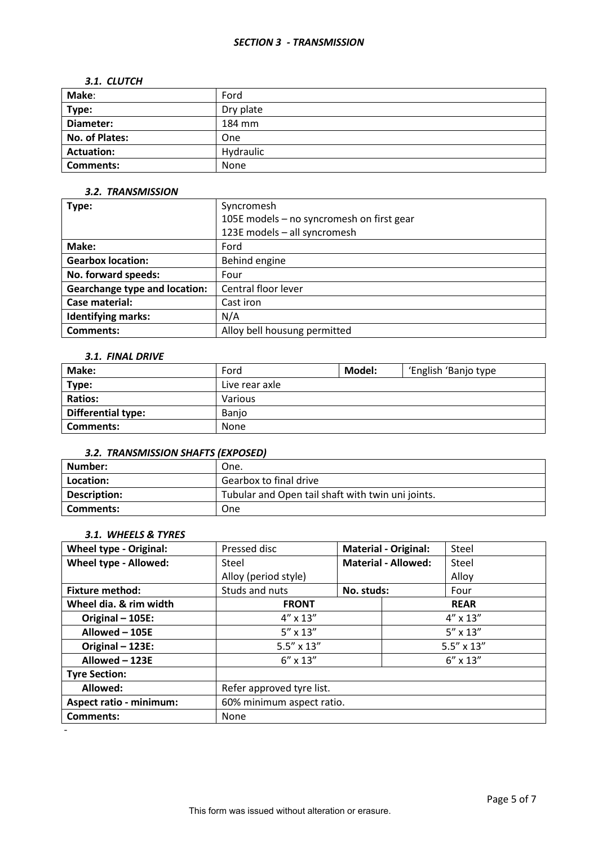#### *SECTION 3 - TRANSMISSION*

#### *3.1. CLUTCH*

| Make:                 | Ford      |
|-----------------------|-----------|
| Type:                 | Dry plate |
| Diameter:             | 184 mm    |
| <b>No. of Plates:</b> | One       |
| <b>Actuation:</b>     | Hydraulic |
| <b>Comments:</b>      | None      |

### *3.2. TRANSMISSION*

| Type:                                | Syncromesh                                |  |
|--------------------------------------|-------------------------------------------|--|
|                                      | 105E models - no syncromesh on first gear |  |
|                                      | 123E models - all syncromesh              |  |
| Make:                                | Ford                                      |  |
| <b>Gearbox location:</b>             | Behind engine                             |  |
| No. forward speeds:                  | Four                                      |  |
| <b>Gearchange type and location:</b> | Central floor lever                       |  |
| Case material:                       | Cast iron                                 |  |
| <b>Identifying marks:</b>            | N/A                                       |  |
| <b>Comments:</b>                     | Alloy bell housung permitted              |  |

#### *3.1. FINAL DRIVE*

| Make:              | Ford           | Model: | 'English 'Banjo type |
|--------------------|----------------|--------|----------------------|
| Type:              | Live rear axle |        |                      |
| <b>Ratios:</b>     | Various        |        |                      |
| Differential type: | Banjo          |        |                      |
| <b>Comments:</b>   | None           |        |                      |

## *3.2. TRANSMISSION SHAFTS (EXPOSED)*

| l Number:    | One.                                              |
|--------------|---------------------------------------------------|
| Location:    | Gearbox to final drive                            |
| Description: | Tubular and Open tail shaft with twin uni joints. |
| l Comments:  | <b>One</b>                                        |

## *3.1. WHEELS & TYRES*

-

| <b>Wheel type - Original:</b>  | Pressed disc                               |                   | <b>Material - Original:</b> | Steel             |  |
|--------------------------------|--------------------------------------------|-------------------|-----------------------------|-------------------|--|
| Wheel type - Allowed:          | Steel                                      |                   | <b>Material - Allowed:</b>  | Steel             |  |
|                                | Alloy (period style)                       |                   |                             | Alloy             |  |
| <b>Fixture method:</b>         | Studs and nuts                             | No. studs:        |                             | Four              |  |
| Wheel dia. & rim width         | <b>FRONT</b>                               |                   |                             | <b>REAR</b>       |  |
| Original - 105E:               | $4'' \times 13''$                          |                   |                             | $4'' \times 13''$ |  |
| Allowed - 105E                 | $5'' \times 13''$                          |                   |                             | $5'' \times 13''$ |  |
| Original - 123E:               | $5.5'' \times 13''$<br>$5.5'' \times 13''$ |                   |                             |                   |  |
| Allowed - 123E                 | $6'' \times 13''$                          | $6'' \times 13''$ |                             |                   |  |
| <b>Tyre Section:</b>           |                                            |                   |                             |                   |  |
| Allowed:                       | Refer approved tyre list.                  |                   |                             |                   |  |
| <b>Aspect ratio - minimum:</b> | 60% minimum aspect ratio.                  |                   |                             |                   |  |
| <b>Comments:</b>               | None                                       |                   |                             |                   |  |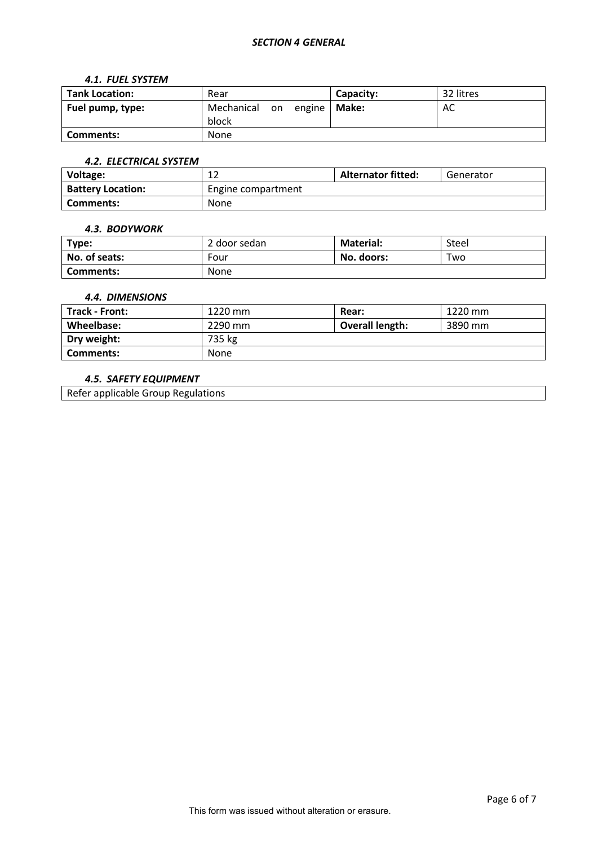### *SECTION 4 GENERAL*

#### *4.1. FUEL SYSTEM*

| <b>Tank Location:</b> | Rear                                     | Capacity: | 32 litres |
|-----------------------|------------------------------------------|-----------|-----------|
| Fuel pump, type:      | Mechanical<br>on engine   Make:<br>block |           | AC        |
| Comments:             | None                                     |           |           |

## *4.2. ELECTRICAL SYSTEM*

| Voltage:                 | $\sim$<br>∸        | <b>Alternator fitted:</b> | Generator |
|--------------------------|--------------------|---------------------------|-----------|
| <b>Battery Location:</b> | Engine compartment |                           |           |
| Comments:                | <b>None</b>        |                           |           |

#### *4.3. BODYWORK*

| Type:         | 2 door sedan | <b>Material:</b> | Steel |
|---------------|--------------|------------------|-------|
| No. of seats: | Four         | No. doors:       | Two   |
| Comments:     | None         |                  |       |

### *4.4. DIMENSIONS*

| Track - Front: | 1220 mm | Rear:                  | 1220 mm |
|----------------|---------|------------------------|---------|
| Wheelbase:     | 2290 mm | <b>Overall length:</b> | 3890 mm |
| Dry weight:    | 735 kg  |                        |         |
| Comments:      | None    |                        |         |

### *4.5. SAFETY EQUIPMENT*

Refer applicable Group Regulations